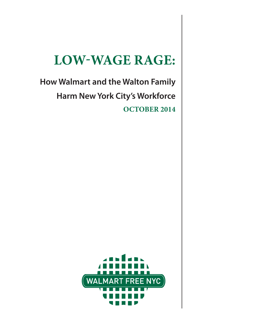# **LOW-WAGE RAGE:**

**How Walmart and the Walton Family Harm New York City's Workforce OCTOBER 2014**

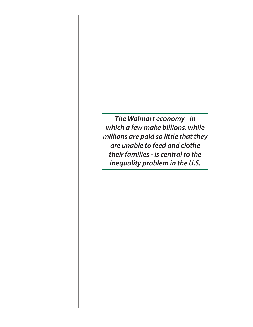*The Walmart economy - in which a few make billions, while millions are paid so little that they are unable to feed and clothe their families - is central to the inequality problem in the U.S.*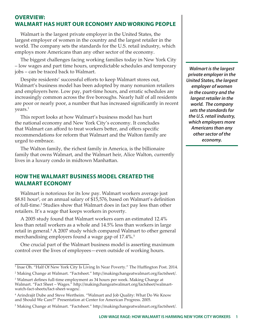## **OVERVIEW: WALMART HAS HURT OUR ECONOMY AND WORKING PEOPLE**

Walmart is the largest private employer in the United States, the largest employer of women in the country and the largest retailer in the world. The company sets the standards for the U.S. retail industry, which employs more Americans than any other sector of the economy.

The biggest challenges facing working families today in New York City – low wages and part time hours, unpredictable schedules and temporary jobs – can be traced back to Walmart.

Despite residents' successful efforts to keep Walmart stores out, Walmart's business model has been adopted by many nonunion retailers and employers here. Low pay, part-time hours, and erratic schedules are increasingly common across the five boroughs. Nearly half of all residents are poor or nearly poor, a number that has increased significantly in recent years.<sup>1</sup>

This report looks at how Walmart's business model has hurt the national economy and New York City's economy. It concludes that Walmart can afford to treat workers better, and offers specific recommendations for reform that Walmart and the Walton family are urged to embrace.

The Walton family, the richest family in America, is the billionaire family that owns Walmart, and the Walmart heir, Alice Walton, currently lives in a luxury condo in midtown Manhattan.

## **HOW THE WALMART BUSINESS MODEL CREATED THE WALMART ECONOMY**

Walmart is notorious for its low pay. Walmart workers average just \$8.81 hour<sup>2</sup>, or an annual salary of \$15,576, based on Walmart's definition of full-time.<sup>3</sup> Studies show that Walmart does in fact pay less than other retailers. It's a wage that keeps workers in poverty.

A 2005 study found that Walmart workers earn an estimated 12.4% less than retail workers as a whole and 14.5% less than workers in large retail in general.<sup>4</sup> A 2007 study which compared Walmart to other general merchandising employers found a wage gap of 17.4%.<sup>5</sup>

One crucial part of the Walmart business model is asserting maximum control over the lives of employees—even outside of working hours.

*Walmart is the largest private employer in the United States, the largest employer of women in the country and the largest retailer in the world. The company sets the standards for the U.S. retail industry, which employers more Americans than any other sector of the economy.*

<sup>1</sup> Inae Oh. "Half Of New York City Is Living In Near Poverty." The Huffington Post. 2014. 2 Making Change at Walmart. "Factsheet." http://makingchangeatwalmart.org/factsheet/.

<sup>3</sup> Walmart defines full-time employment as 34 hours per week. Making Change at Walmart. "Fact Sheet – Wages." http://makingchangeatwalmart.org/factsheet/walmartwatch-fact-sheets/fact-sheet-wages/.

<sup>4</sup> Arindrajit Dube and Steve Wertheim. "Walmart and Job Quality: What Do We Know and Should We Care?" Presentation at Center for American Progress. 2005.

<sup>5</sup> Making Change at Walmart. "Factsheet." http://makingchangeatwalmart.org/factsheet/.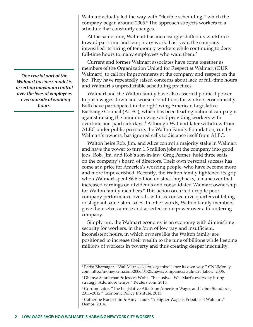*One crucial part of the Walmart business model is asserting maximum control over the lives of employees - even outside of working hours.*

Walmart actually led the way with "flexible scheduling," which the company began around 2006.<sup>6</sup> The approach subjects workers to a schedule that constantly changes.

At the same time, Walmart has increasingly shifted its workforce toward part-time and temporary work. Last year, the company intensified its hiring of temporary workers while continuing to deny full-time hours to many employees who want them.<sup>7</sup>

Current and former Walmart associates have come together as members of the Organization United for Respect at Walmart (OUR Walmart), to call for improvements at the company and respect on the job. They have repeatedly raised concerns about lack of full-time hours and Walmart's unpredictable scheduling practices.

Walmart and the Walton family have also asserted political power to push wages down and worsen conditions for workers economically. Both have participated in the right-wing American Legislative Exchange Council (ALEC), which has been leading national campaigns against raising the minimum wage and providing workers with overtime and paid sick days.<sup>8</sup> Although Walmart later withdrew from ALEC under public pressure, the Walton Family Foundation, run by Walmart's owners, has ignored calls to distance itself from ALEC.

Walton heirs Rob, Jim, and Alice control a majority stake in Walmart and have the power to turn 1.3 million jobs at the company into good jobs. Rob, Jim, and Rob's son-in-law, Greg Penner, hold three seats on the company's board of directors. Their own personal success has come at a price for America's working people, who have become more and more impoverished. Recently, the Walton family tightened its grip when Walmart spent \$6.6 billion on stock buybacks, a maneuver that increased earnings on dividends and consolidated Walmart ownership for Walton family members.<sup>9</sup> This action occurred despite poor company performance overall, with six consecutive quarters of falling or stagnant same-store sales. In other words, Walton family members gave themselves a raise and asserted more power over a floundering company.

Simply put, the Walmart economy is an economy with diminishing security for workers, in the form of low pay and insufficient, inconsistent hours, in which owners like the Walton family are positioned to increase their wealth to the tune of billions while keeping millions of workers in poverty and thus creating deeper inequality.

<sup>6</sup> Parija Bhatnagar. "Wal-Mart seeks to 'organize' labor its own way." CNNMoney. com. http://money.cnn.com/2006/04/25/news/companies/walmart\_labor/. 2006.

<sup>7</sup> Dhanya Skariachan & Jessica Wohl. "Exclusive - Wal-Mart's everyday hiring strategy: Add more temps." Reuters.com. 2013.

<sup>8</sup> Gordon Lafer. "The Legislative Attack on American Wages and Labor Standards, 2011–2012." Economic Policy Institute. 2013.

<sup>9</sup> Catherine Ruetschlin & Amy Traub. "A Higher Wage is Possible at Walmart." Demos. 2014.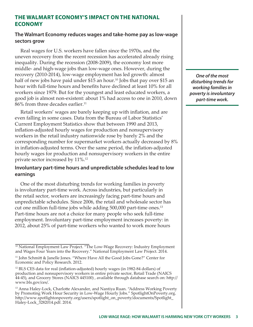#### **THE WALMART ECONOMY'S IMPACT ON THE NATIONAL ECONOMY**

#### **The Walmart Economy reduces wages and take-home pay as low-wage sectors grow**

Real wages for U.S. workers have fallen since the 1970s, and the uneven recovery from the recent recession has accelerated already rising inequality. During the recession (2008-2009), the economy lost more middle- and high-wage jobs than low-wage ones. However, during the recovery (2010-2014), low-wage employment has led growth: almost half of new jobs have paid under \$15 an hour.<sup>10</sup> Jobs that pay over \$15 an hour with full-time hours and benefits have declined at least 10% for all workers since 1979. But for the youngest and least educated workers, a good job is almost non-existent: about 1% had access to one in 2010, down 86% from three decades earlier.<sup>11</sup>

Retail workers' wages are barely keeping up with inflation, and are even falling in some cases. Data from the Bureau of Labor Statistics' Current Employment Statistics show that between 1990 and 2013, inflation-adjusted hourly wages for production and nonsupervisory workers in the retail industry nationwide rose by barely 2% and the corresponding number for supermarket workers actually decreased by 8% in inflation-adjusted terms. Over the same period, the inflation-adjusted hourly wages for production and nonsupervisory workers in the entire private sector increased by 11%.12

#### **Involuntary part-time hours and unpredictable schedules lead to low earnings**

One of the most disturbing trends for working families in poverty is involuntary part-time work. Across industries, but particularly in the retail sector, workers are increasingly facing part-time hours and unpredictable schedules. Since 2006, the retail and wholesale sector has cut one million full-time jobs while adding 500,000 part-time ones.<sup>13</sup> Part-time hours are not a choice for many people who seek full-time employment. Involuntary part-time employment increases poverty: in 2012, about 25% of part-time workers who wanted to work more hours

*One of the most disturbing trends for working families in poverty is involuntary part-time work.*

<sup>10</sup> National Employment Law Project. "The Low-Wage Recovery: Industry Employment and Wages Four Years into the Recovery." National Employment Law Project. 2014.

<sup>11</sup> John Schmitt & Janelle Jones. "Where Have All the Good Jobs Gone?" Center for Economic and Policy Research. 2012.

<sup>12</sup> BLS CES data for real (inflation-adjusted) hourly wages (in 1982-84 dollars) of production and nonsupervisory workers in entire private sector, Retail Trade (NAICS 44-45), and Grocery Stores (NAICS 445100) , available through database search on: http:// www.bls.gov/ces/.

<sup>13</sup> Anna Haley-Lock, Charlotte Alexander, and Nantiya Ruan. "Address Working Poverty by Promoting Work Hour Security in Low-Wage Hourly Jobs." SpotlightOnPoverty.org. http://www.spotlightonpoverty.org/users/spotlight\_on\_poverty/documents/Spotlight\_ Haley-Lock\_3282014.pdf. 2014.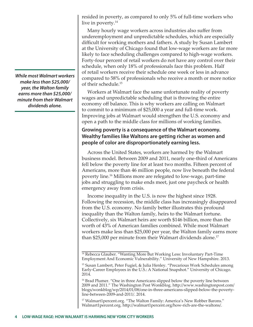*While most Walmart workers make less than \$25,000/ year, the Walton family earns more than \$25,000/ minute from their Walmart dividends alone.* 

resided in poverty, as compared to only 5% of full-time workers who live in poverty.<sup>14</sup>

Many hourly wage workers across industries also suffer from underemployment and unpredictable schedules, which are especially difficult for working mothers and fathers. A study by Susan Lambert at the University of Chicago found that low-wage workers are far more likely to face scheduling challenges compared to high-wage workers. Forty-four percent of retail workers do not have any control over their schedule, when only 18% of professionals face this problem. Half of retail workers receive their schedule one week or less in advance compared to 58% of professionals who receive a month or more notice of their schedule.15

Workers at Walmart face the same unfortunate reality of poverty wages and unpredictable scheduling that is throwing the entire economy off balance. This is why workers are calling on Walmart to commit to a minimum of \$25,000 a year and full-time work. Improving jobs at Walmart would strengthen the U.S. economy and open a path to the middle class for millions of working families.

### **Growing poverty is a consequence of the Walmart economy. Wealthy families like Waltons are getting richer as women and people of color are disproportionately earning less.**

Across the United States, workers are harmed by the Walmart business model. Between 2009 and 2011, nearly one-third of Americans fell below the poverty line for at least two months. Fifteen percent of Americans, more than 46 million people, now live beneath the federal poverty line.16 Millions more are relegated to low-wage, part-time jobs and struggling to make ends meet, just one paycheck or health emergency away from crisis.

Income inequality in the U.S. is now the highest since 1928. Following the recession, the middle class has increasingly disappeared from the U.S. economy. No family better illustrates this profound inequality than the Walton family, heirs to the Walmart fortune. Collectively, six Walmart heirs are worth \$146 billion, more than the worth of 43% of American families combined. While most Walmart workers make less than \$25,000 per year, the Walton family earns more than \$25,000 per minute from their Walmart dividends alone.<sup>17</sup>

<sup>17</sup> Walmart1percent.org. "The Walton Family: America's New Robber Barons." Walmart1percent.org. http://walmart1percent.org/how-rich-are-the-waltons/.

<sup>&</sup>lt;sup>14</sup> Rebecca Glauber. "Wanting More But Working Less: Involuntary Part-Time Employment And Economic Vulnerability." University of New Hampshire. 2013.

<sup>15</sup> Susan Lambert, Peter Fugiel, & Julia Henley. "Precarious Work Schedules among Early-Career Employees in the U.S.: A National Snapshot." University of Chicago. 2014.

<sup>&</sup>lt;sup>16</sup> Brad Plumer. "One in three Americans slipped below the poverty line between 2009 and 2011." The Washington Post Wonkblog. http://www.washingtonpost.com/ blogs/wonkblog/wp/2014/01/08/one-in-three-americans-slipped-below-the-povertyline-between-2009-and-2011/. 2014.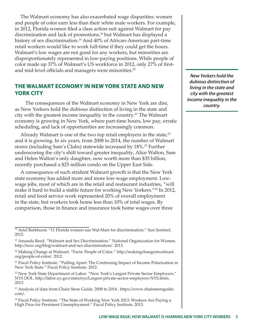The Walmart economy has also exacerbated wage disparities: women and people of color earn less than their white male workers. For example, in 2012, Florida women filed a class action suit against Walmart for pay discrimination and lack of promotions,<sup>18</sup> but Walmart has displayed a history of sex discrimination.<sup>19</sup> And 40% of African-American part-time retail workers would like to work full-time if they could get the hours. Walmart's low wages are not good for any workers, but minorities are disproportionately represented in low-paying positions. While people of color made up 37% of Walmart's US workforce in 2012, only 27% of firstand mid-level officials and managers were minorities.<sup>20</sup>

#### **THE WALMART ECONOMY IN NEW YORK STATE AND NEW YORK CITY**

 The consequences of the Walmart economy in New York are dire, as New Yorkers hold the dubious distinction of living in the state and city with the greatest income inequality in the country.<sup>21</sup> The Walmart economy is growing in New York, where part-time hours, low pay, erratic scheduling, and lack of opportunities are increasingly common.

Already Walmart is one of the two top retail employers in the state, $2^2$ and it is growing. In six years, from 2008 to 2014, the number of Walmart stores (including Sam's Clubs) statewide increased by 18%.<sup>23</sup> Further underscoring the city's shift toward greater inequality, Alice Walton, Sam and Helen Walton's only daughter, now worth more than \$35 billion, recently purchased a \$25 million condo on the Upper East Side.

A consequence of such strident Walmart growth is that the New York state economy has added more and more low-wage employment. Lowwage jobs, most of which are in the retail and restaurant industries, "will make it hard to build a stable future for working New Yorkers."<sup>24</sup> In 2012, retail and food service work represented 20% of overall employment in the state, but workers took home less than 10% of total wages. By comparison, those in finance and insurance took home wages over three

*New Yorkers hold the dubious distinction of living in the state and city with the greatest income inequality in the country.*

<sup>&</sup>lt;sup>18</sup> Ariel Barkhurst. "11 Florida women sue Wal-Mart for discrimination." Sun Sentinel. 2012.

<sup>&</sup>lt;sup>19</sup> Amanda Reed. "Walmart and Sex Discrimination." National Organization for Women. http://now.org/blog/walmart-and-sex-discrimination/. 2013.

<sup>&</sup>lt;sup>20</sup> Making Change at Walmart. "Facts: People of Color." http://makingchangeatwalmart. org/people-of-color/. 2012.

<sup>&</sup>lt;sup>21</sup> Fiscal Policy Institute. "Pulling Apart: The Continuing Impact of Income Polarization in New York State." Fiscal Policy Institute. 2012.

<sup>&</sup>lt;sup>22</sup> New York State Department of Labor. "New York's Largest Private Sector Employers." NYS DOL. http://labor.ny.gov/stats/nys/Largest-private-sector-employers-NYS.shtm. 2013.

<sup>23</sup> Analysis of data from Chain Store Guide, 2008 to 2014. https://www.chainstoreguide. com/.

<sup>24</sup> Fiscal Policy Institute. "The State of Working New York 2013: Workers Are Paying a High Price for Persistent Unemployment." Fiscal Policy Institute. 2013.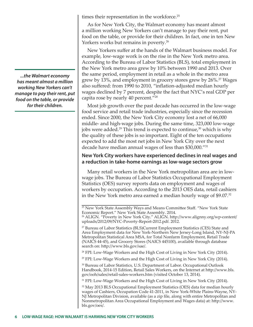times their representation in the workforce.<sup>25</sup>

As for New York City, the Walmart economy has meant almost a million working New Yorkers can't manage to pay their rent, put food on the table, or provide for their children. In fact, one in ten New Yorkers works but remains in poverty.<sup>26</sup>

New Yorkers suffer at the hands of the Walmart business model. For example, low-wage work is on the rise in the New York metro area. According to the Bureau of Labor Statistics (BLS), total employment in the New York metro area grew by 10% between 1990 and 2013. Over the same period, employment in retail as a whole in the metro area grew by 13%, and employment in grocery stores grew by 26%.27 Wages also suffered: from 1990 to 2010, "inflation-adjusted median hourly wages declined by 7 percent, despite the fact that NYC's real GDP per capita rose by nearly 40 percent."28

Most job growth over the past decade has occurred in the low-wage food service and retail trade industries, especially since the recession ended. Since 2000, the New York City economy lost a net of 66,000 middle- and high-wage jobs. During the same time, 323,000 low-wage jobs were added.<sup>29</sup> This trend is expected to continue,<sup>30</sup> which is why the quality of these jobs is so important. Eight of the ten occupations expected to add the most net jobs in New York City over the next decade have median annual wages of less than \$30,000."31

#### **New York City workers have experienced declines in real wages and a reduction in take-home earnings as low-wage sectors grow**

Many retail workers in the New York metropolitan area are in lowwage jobs. The Bureau of Labor Statistics Occupational Employment Statistics (OES) survey reports data on employment and wages of workers by occupation. According to the 2013 OES data, retail cashiers in the New York metro area earned a median hourly wage of \$9.07.<sup>32</sup>

<sup>28</sup> FPI: Low-Wage Workers and the High Cost of Living in New York City (2014).

<sup>29</sup> FPI: Low-Wage Workers and the High Cost of Living in New York City (2014).

<sup>30</sup> Bureau of Labor Statistics, U.S. Department of Labor. Occupational Outlook Handbook, 2014-15 Edition, Retail Sales Workers, on the Internet at http://www.bls. gov/ooh/sales/retail-sales-workers.htm (visited October 13, 2014).

<sup>31</sup> FPI: Low-Wage Workers and the High Cost of Living in New York City (2014).

 $32$  May 2013 BLS Occupational Employment Statistics (OES) data for median hourly wages of Cashiers, Occupation Code 41-2011, in New York-White Plains-Wayne, NY-NJ Metropolitan Division, available (as a zip file, along with entire Metropolitan and Nonmetropolitan Area Occupational Employment and Wages data) at: http://www. bls.gov/oes/.

*...the Walmart economy has meant almost a million working New Yorkers can't manage to pay their rent, put food on the table, or provide for their children.*

<sup>&</sup>lt;sup>25</sup> New York State Assembly Ways and Means Committee Staff. "New York State Economic Report." New York State Assembly. 2014.

<sup>26</sup> ALIGN. "Poverty in New York City." ALIGN. http://www.alignny.org/wp-content/ uploads/2012/09/NYC-Poverty-Report-2012.pdf. 2012.

<sup>&</sup>lt;sup>27</sup> Bureau of Labor Statistics (BLS)Current Employment Statistics (CES) State and Area Employment data for New York-Northern New Jersey-Long Island, NY-NJ-PA Metropolitan Statistical Area MSA, for Total Nonfarm Employment, Retail Trade (NAICS 44-45), and Grocery Stores (NAICS 445100), available through database search on: http://www.bls.gov/sae/.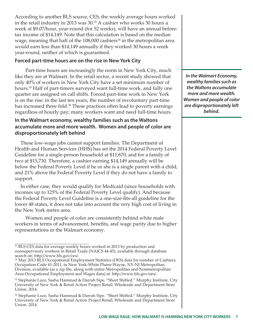According to another BLS source, CES, the weekly average hours worked in the retail industry in 2013 was 30.<sup>33</sup> A cashier who works 30 hours a week at \$9.07/hour, year-round (for 52 weeks), will have an annual beforetax income of \$14,149. Note that this calculation is based on the median wage, meaning that half of the  $108,000$  cashiers<sup>34</sup> in the metropolitan area would earn less than \$14,149 annually if they worked 30 hours a week year-round, neither of which is guaranteed.

#### **Forced part-time hours are on the rise in New York City**

 Part-time hours are increasingly the norm in New York City, much like they are at Walmart. In the retail sector, a recent study showed that only 40% of workers in New York City have a set minimum number of hours.<sup>35</sup> Half of part-timers surveyed want full-time work, and fully one quarter are assigned on call shifts. Forced part-time work in New York is on the rise: in the last ten years, the number of involuntary part-time has increased three fold.<sup>36</sup> These practices often lead to poverty earnings regardless of hourly pay; many workers want and need full-time hours.

### **In the Walmart economy, wealthy families such as the Waltons accumulate more and more wealth. Women and people of color are disproportionately left behind**

These low-wage jobs cannot support families. The Department of Health and Human Services (HHS) has set the 2014 Federal Poverty Level Guideline for a single-person household at \$11,670, and for a family of two at \$15,730. Therefore, a cashier earning \$14,149 annually will be below the Federal Poverty Level if he or she is a single parent with a child, and 21% above the Federal Poverty Level if they do not have a family to support.

In either case, they would qualify for Medicaid (since households with incomes up to 125% of the Federal Poverty Level qualify). And because the Federal Poverty Level Guideline is a one-size-fits-all guideline for the lower 48 states, it does not take into account the very high cost of living in the New York metro area.

 Women and people of color are consistently behind white male workers in terms of advancement, benefits, and wage parity due to higher representations in the Walmart economy.

*In the Walmart Economy, wealthy families such as the Waltons accumulate more and more wealth. Women and people of color are disproportionately left behind.*

<sup>&</sup>lt;sup>33</sup> BLS CES data for average weekly hours worked in 2013 by production and nonsupervisory workers in Retail Trade (NAICS 44-45), available through database search on: http://www.bls.gov/ces/.

<sup>34</sup> May 2013 BLS Occupational Employment Statistics (OES) data for number of Cashiers, Occupation Code 41-2011, in New York-White Plains-Wayne, NY-NJ Metropolitan Division, available (as a zip file, along with entire Metropolitan and Nonmetropolitan Area Occupational Employment and Wages data) at: http://www.bls.gov/oes/.

<sup>35</sup> Stephanie Luce, Sasha Hammad & Darrah Sipe. "Short Shifted." Murphy Institute, City University of New York & Retail Action Project Retail, Wholesale and Department Store Union. 2014.

<sup>36</sup> Stephanie Luce, Sasha Hammad & Darrah Sipe. "Short Shifted." Murphy Institute, City University of New York & Retail Action Project Retail, Wholesale and Department Store Union. 2014.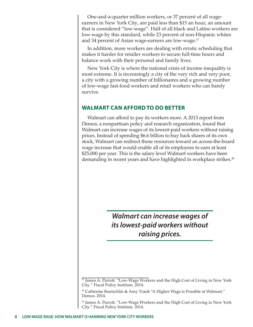One-and-a-quarter million workers, or 37 percent of all wageearners in New York City, are paid less than \$15 an hour, an amount that is considered "low-wage". Half of all black and Latino workers are low-wage by this standard, while 23 percent of non-Hispanic whites and 34 percent of Asian wage-earners are low-wage.<sup>37</sup>

In addition, more workers are dealing with erratic scheduling that makes it harder for retailer workers to secure full-time hours and balance work with their personal and family lives.

New York City is where the national crisis of income inequality is most extreme. It is increasingly a city of the very rich and very poor, a city with a growing number of billionaires and a growing number of low-wage fast-food workers and retail workers who can barely survive.

### **WALMART CAN AFFORD TO DO BETTER**

Walmart can afford to pay its workers more. A 2013 report from Demos, a nonpartisan policy and research organization, found that Walmart can increase wages of its lowest-paid workers without raising prices. Instead of spending \$6.6 billion to buy back shares of its own stock, Walmart can redirect those resources toward an across-the-board wage increase that would enable all of its employees to earn at least \$25,000 per year. This is the salary level Walmart workers have been demanding in recent years and have highlighted in workplace strikes.<sup>38</sup>

> *Walmart can increase wages of its lowest-paid workers without raising prices.*

<sup>&</sup>lt;sup>37</sup> James A. Parrott. "Low-Wage Workers and the High Cost of Living in New York City." Fiscal Policy Institute. 2014.

<sup>&</sup>lt;sup>38</sup> Catherine Ruetschlin & Amy Traub "A Higher Wage is Possible at Walmart." Demos. 2014.

<sup>39</sup> James A. Parrott. "Low-Wage Workers and the High Cost of Living in New York City." Fiscal Policy Institute. 2014.